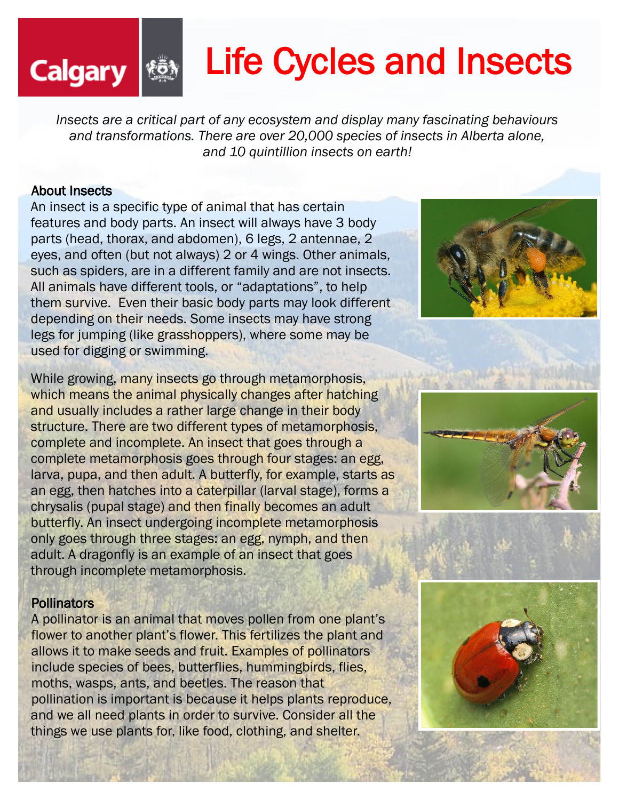# Life Cycles and Insects

*Insects are a critical part of any ecosystem and display many fascinating behaviours and transformations. There are over 20,000 species of insects in Alberta alone, and 10 quintillion insects on earth!*

## About Insects

**Calgary** 

An insect is a specific type of animal that has certain features and body parts. An insect will always have 3 body parts (head, thorax, and abdomen), 6 legs, 2 antennae, 2 eyes, and often (but not always) 2 or 4 wings. Other animals, such as spiders, are in a different family and are not insects. All animals have different tools, or "adaptations", to help them survive. Even their basic body parts may look different depending on their needs. Some insects may have strong legs for jumping (like grasshoppers), where some may be used for digging or swimming.

While growing, many insects go through metamorphosis, which means the animal physically changes after hatching and usually includes a rather large change in their body structure. There are two different types of metamorphosis, complete and incomplete. An insect that goes through a complete metamorphosis goes through four stages: an egg, larva, pupa, and then adult. A butterfly, for example, starts as an egg, then hatches into a caterpillar (larval stage), forms a chrysalis (pupal stage) and then finally becomes an adult butterfly. An insect undergoing incomplete metamorphosis only goes through three stages: an egg, nymph, and then adult. A dragonfly is an example of an insect that goes through incomplete metamorphosis.

## **Pollinators**

A pollinator is an animal that moves pollen from one plant's flower to another plant's flower. This fertilizes the plant and allows it to make seeds and fruit. Examples of pollinators include species of bees, butterflies, hummingbirds, flies, moths, wasps, ants, and beetles. The reason that pollination is important is because it helps plants reproduce, and we all need plants in order to survive. Consider all the things we use plants for, like food, clothing, and shelter.